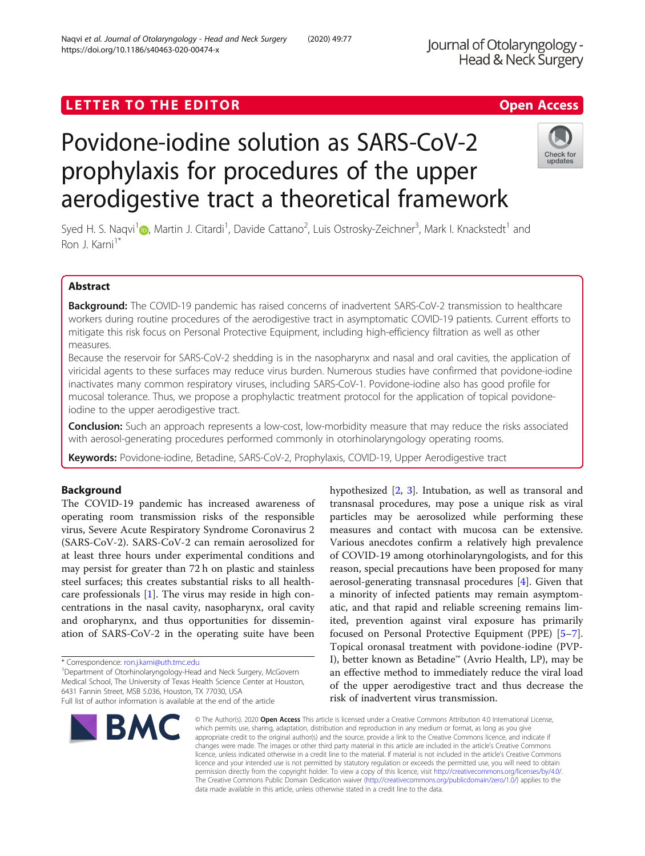## LETTER TO THE EDITOR **CONSIDERATION**

# Povidone-iodine solution as SARS-CoV-2 prophylaxis for procedures of the upper aerodigestive tract a theoretical framework

Syed H. S. Naqvi<sup>1</sup> (b, Martin J. Citardi<sup>1</sup>, Davide Cattano<sup>2</sup>, Luis Ostrosky-Zeichner<sup>3</sup>, Mark I. Knackstedt<sup>1</sup> and Ron J. Karni<sup>1\*</sup>

### Abstract

Background: The COVID-19 pandemic has raised concerns of inadvertent SARS-CoV-2 transmission to healthcare workers during routine procedures of the aerodigestive tract in asymptomatic COVID-19 patients. Current efforts to mitigate this risk focus on Personal Protective Equipment, including high-efficiency filtration as well as other measures.

Because the reservoir for SARS-CoV-2 shedding is in the nasopharynx and nasal and oral cavities, the application of viricidal agents to these surfaces may reduce virus burden. Numerous studies have confirmed that povidone-iodine inactivates many common respiratory viruses, including SARS-CoV-1. Povidone-iodine also has good profile for mucosal tolerance. Thus, we propose a prophylactic treatment protocol for the application of topical povidoneiodine to the upper aerodigestive tract.

**Conclusion:** Such an approach represents a low-cost, low-morbidity measure that may reduce the risks associated with aerosol-generating procedures performed commonly in otorhinolaryngology operating rooms.

Keywords: Povidone-iodine, Betadine, SARS-CoV-2, Prophylaxis, COVID-19, Upper Aerodigestive tract

#### Background

The COVID-19 pandemic has increased awareness of operating room transmission risks of the responsible virus, Severe Acute Respiratory Syndrome Coronavirus 2 (SARS-CoV-2). SARS-CoV-2 can remain aerosolized for at least three hours under experimental conditions and may persist for greater than 72 h on plastic and stainless steel surfaces; this creates substantial risks to all healthcare professionals [[1\]](#page-2-0). The virus may reside in high concentrations in the nasal cavity, nasopharynx, oral cavity and oropharynx, and thus opportunities for dissemination of SARS-CoV-2 in the operating suite have been

\* Correspondence: [ron.j.karni@uth.tmc.edu](mailto:ron.j.karni@uth.tmc.edu) <sup>1</sup>

BMC

Department of Otorhinolaryngology-Head and Neck Surgery, McGovern Medical School, The University of Texas Health Science Center at Houston, 6431 Fannin Street, MSB 5.036, Houston, TX 77030, USA Full list of author information is available at the end of the article

hypothesized [[2,](#page-2-0) [3\]](#page-2-0). Intubation, as well as transoral and transnasal procedures, may pose a unique risk as viral particles may be aerosolized while performing these measures and contact with mucosa can be extensive. Various anecdotes confirm a relatively high prevalence of COVID-19 among otorhinolaryngologists, and for this reason, special precautions have been proposed for many aerosol-generating transnasal procedures [[4\]](#page-2-0). Given that a minority of infected patients may remain asymptomatic, and that rapid and reliable screening remains limited, prevention against viral exposure has primarily focused on Personal Protective Equipment (PPE) [\[5](#page-2-0)–[7](#page-2-0)]. Topical oronasal treatment with povidone-iodine (PVP-I), better known as Betadine™ (Avrio Health, LP), may be an effective method to immediately reduce the viral load of the upper aerodigestive tract and thus decrease the risk of inadvertent virus transmission.

© The Author(s), 2020 **Open Access** This article is licensed under a Creative Commons Attribution 4.0 International License, which permits use, sharing, adaptation, distribution and reproduction in any medium or format, as long as you give appropriate credit to the original author(s) and the source, provide a link to the Creative Commons licence, and indicate if changes were made. The images or other third party material in this article are included in the article's Creative Commons licence, unless indicated otherwise in a credit line to the material. If material is not included in the article's Creative Commons licence and your intended use is not permitted by statutory regulation or exceeds the permitted use, you will need to obtain permission directly from the copyright holder. To view a copy of this licence, visit [http://creativecommons.org/licenses/by/4.0/.](http://creativecommons.org/licenses/by/4.0/) The Creative Commons Public Domain Dedication waiver [\(http://creativecommons.org/publicdomain/zero/1.0/](http://creativecommons.org/publicdomain/zero/1.0/)) applies to the

Naqvi et al. Journal of Otolaryngology - Head and Neck Surgery (2020) 49:77 https://doi.org/10.1186/s40463-020-00474-x



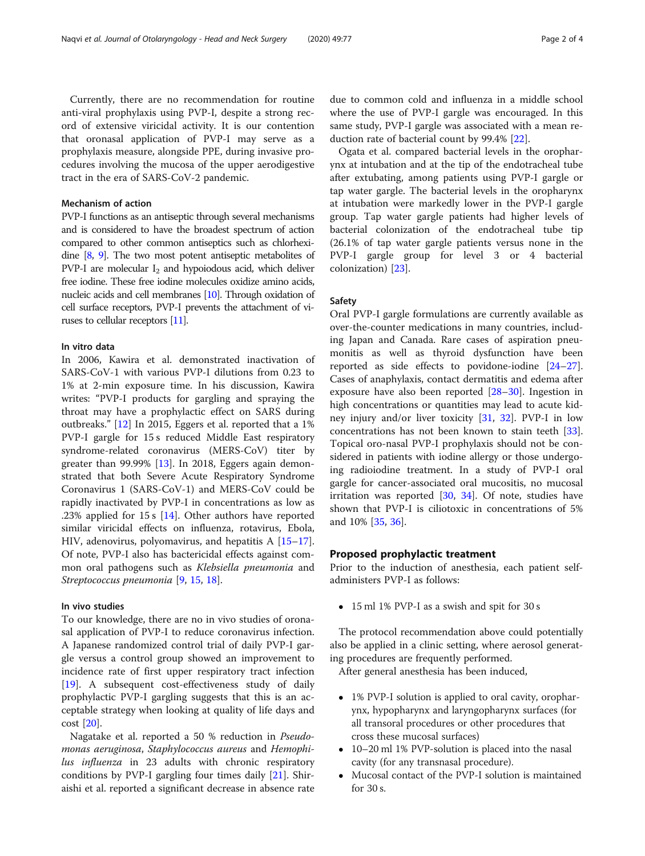Currently, there are no recommendation for routine anti-viral prophylaxis using PVP-I, despite a strong record of extensive viricidal activity. It is our contention that oronasal application of PVP-I may serve as a prophylaxis measure, alongside PPE, during invasive procedures involving the mucosa of the upper aerodigestive tract in the era of SARS-CoV-2 pandemic.

#### Mechanism of action

PVP-I functions as an antiseptic through several mechanisms and is considered to have the broadest spectrum of action compared to other common antiseptics such as chlorhexidine [\[8,](#page-2-0) [9\]](#page-2-0). The two most potent antiseptic metabolites of PVP-I are molecular  $I_2$  and hypoiodous acid, which deliver free iodine. These free iodine molecules oxidize amino acids, nucleic acids and cell membranes [\[10](#page-2-0)]. Through oxidation of cell surface receptors, PVP-I prevents the attachment of viruses to cellular receptors [\[11](#page-2-0)].

#### In vitro data

In 2006, Kawira et al. demonstrated inactivation of SARS-CoV-1 with various PVP-I dilutions from 0.23 to 1% at 2-min exposure time. In his discussion, Kawira writes: "PVP-I products for gargling and spraying the throat may have a prophylactic effect on SARS during outbreaks." [[12](#page-2-0)] In 2015, Eggers et al. reported that a 1% PVP-I gargle for 15 s reduced Middle East respiratory syndrome-related coronavirus (MERS-CoV) titer by greater than 99.99% [\[13](#page-2-0)]. In 2018, Eggers again demonstrated that both Severe Acute Respiratory Syndrome Coronavirus 1 (SARS-CoV-1) and MERS-CoV could be rapidly inactivated by PVP-I in concentrations as low as .23% applied for 15 s [\[14](#page-2-0)]. Other authors have reported similar viricidal effects on influenza, rotavirus, Ebola, HIV, adenovirus, polyomavirus, and hepatitis A [[15](#page-2-0)–[17](#page-3-0)]. Of note, PVP-I also has bactericidal effects against common oral pathogens such as Klebsiella pneumonia and Streptococcus pneumonia [[9,](#page-2-0) [15](#page-2-0), [18](#page-3-0)].

#### In vivo studies

To our knowledge, there are no in vivo studies of oronasal application of PVP-I to reduce coronavirus infection. A Japanese randomized control trial of daily PVP-I gargle versus a control group showed an improvement to incidence rate of first upper respiratory tract infection [[19\]](#page-3-0). A subsequent cost-effectiveness study of daily prophylactic PVP-I gargling suggests that this is an acceptable strategy when looking at quality of life days and cost [\[20](#page-3-0)].

Nagatake et al. reported a 50 % reduction in Pseudomonas aeruginosa, Staphylococcus aureus and Hemophilus influenza in 23 adults with chronic respiratory conditions by PVP-I gargling four times daily [[21\]](#page-3-0). Shiraishi et al. reported a significant decrease in absence rate

due to common cold and influenza in a middle school where the use of PVP-I gargle was encouraged. In this same study, PVP-I gargle was associated with a mean reduction rate of bacterial count by 99.4% [[22](#page-3-0)].

Ogata et al. compared bacterial levels in the oropharynx at intubation and at the tip of the endotracheal tube after extubating, among patients using PVP-I gargle or tap water gargle. The bacterial levels in the oropharynx at intubation were markedly lower in the PVP-I gargle group. Tap water gargle patients had higher levels of bacterial colonization of the endotracheal tube tip (26.1% of tap water gargle patients versus none in the PVP-I gargle group for level 3 or 4 bacterial colonization) [\[23\]](#page-3-0).

#### Safety

Oral PVP-I gargle formulations are currently available as over-the-counter medications in many countries, including Japan and Canada. Rare cases of aspiration pneumonitis as well as thyroid dysfunction have been reported as side effects to povidone-iodine [[24](#page-3-0)–[27](#page-3-0)]. Cases of anaphylaxis, contact dermatitis and edema after exposure have also been reported [[28](#page-3-0)–[30](#page-3-0)]. Ingestion in high concentrations or quantities may lead to acute kidney injury and/or liver toxicity [\[31,](#page-3-0) [32\]](#page-3-0). PVP-I in low concentrations has not been known to stain teeth [\[33](#page-3-0)]. Topical oro-nasal PVP-I prophylaxis should not be considered in patients with iodine allergy or those undergoing radioiodine treatment. In a study of PVP-I oral gargle for cancer-associated oral mucositis, no mucosal irritation was reported [\[30,](#page-3-0) [34\]](#page-3-0). Of note, studies have shown that PVP-I is ciliotoxic in concentrations of 5% and 10% [\[35](#page-3-0), [36](#page-3-0)].

#### Proposed prophylactic treatment

Prior to the induction of anesthesia, each patient selfadministers PVP-I as follows:

15 ml 1% PVP-I as a swish and spit for 30 s

The protocol recommendation above could potentially also be applied in a clinic setting, where aerosol generating procedures are frequently performed.

After general anesthesia has been induced,

- 1% PVP-I solution is applied to oral cavity, oropharynx, hypopharynx and laryngopharynx surfaces (for all transoral procedures or other procedures that cross these mucosal surfaces)
- 10–20 ml 1% PVP-solution is placed into the nasal cavity (for any transnasal procedure).
- Mucosal contact of the PVP-I solution is maintained for 30 s.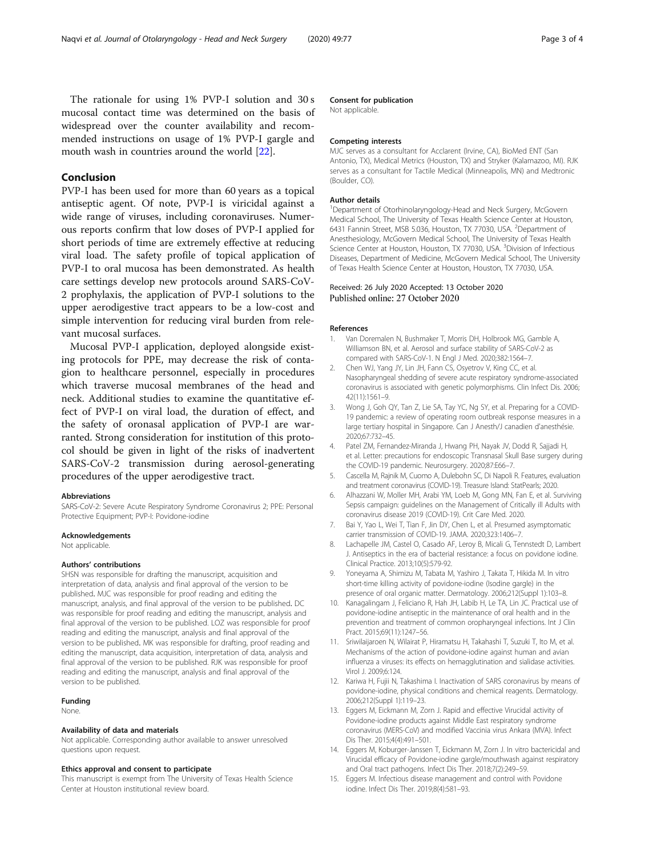<span id="page-2-0"></span>The rationale for using 1% PVP-I solution and 30 s mucosal contact time was determined on the basis of widespread over the counter availability and recommended instructions on usage of 1% PVP-I gargle and mouth wash in countries around the world [\[22\]](#page-3-0).

#### Conclusion

PVP-I has been used for more than 60 years as a topical antiseptic agent. Of note, PVP-I is viricidal against a wide range of viruses, including coronaviruses. Numerous reports confirm that low doses of PVP-I applied for short periods of time are extremely effective at reducing viral load. The safety profile of topical application of PVP-I to oral mucosa has been demonstrated. As health care settings develop new protocols around SARS-CoV-2 prophylaxis, the application of PVP-I solutions to the upper aerodigestive tract appears to be a low-cost and simple intervention for reducing viral burden from relevant mucosal surfaces.

Mucosal PVP-I application, deployed alongside existing protocols for PPE, may decrease the risk of contagion to healthcare personnel, especially in procedures which traverse mucosal membranes of the head and neck. Additional studies to examine the quantitative effect of PVP-I on viral load, the duration of effect, and the safety of oronasal application of PVP-I are warranted. Strong consideration for institution of this protocol should be given in light of the risks of inadvertent SARS-CoV-2 transmission during aerosol-generating procedures of the upper aerodigestive tract.

#### Abbreviations

SARS-CoV-2: Severe Acute Respiratory Syndrome Coronavirus 2; PPE: Personal Protective Equipment; PVP-I: Povidone-iodine

#### Acknowledgements

Not applicable.

#### Authors' contributions

SHSN was responsible for drafting the manuscript, acquisition and interpretation of data, analysis and final approval of the version to be published. MJC was responsible for proof reading and editing the manuscript, analysis, and final approval of the version to be published. DC was responsible for proof reading and editing the manuscript, analysis and final approval of the version to be published. LOZ was responsible for proof reading and editing the manuscript, analysis and final approval of the version to be published. MK was responsible for drafting, proof reading and editing the manuscript, data acquisition, interpretation of data, analysis and final approval of the version to be published. RJK was responsible for proof reading and editing the manuscript, analysis and final approval of the version to be published.

#### Funding

None.

#### Availability of data and materials

Not applicable. Corresponding author available to answer unresolved questions upon request.

#### Ethics approval and consent to participate

This manuscript is exempt from The University of Texas Health Science Center at Houston institutional review board.

#### Consent for publication

Not applicable.

#### Competing interests

MJC serves as a consultant for Acclarent (Irvine, CA), BioMed ENT (San Antonio, TX), Medical Metrics (Houston, TX) and Stryker (Kalamazoo, MI). RJK serves as a consultant for Tactile Medical (Minneapolis, MN) and Medtronic (Boulder, CO).

#### Author details

<sup>1</sup>Department of Otorhinolaryngology-Head and Neck Surgery, McGovern Medical School, The University of Texas Health Science Center at Houston, 6431 Fannin Street, MSB 5.036, Houston, TX 77030, USA. <sup>2</sup>Department of Anesthesiology, McGovern Medical School, The University of Texas Health Science Center at Houston, Houston, TX 77030, USA. <sup>3</sup>Division of Infectious Diseases, Department of Medicine, McGovern Medical School, The University of Texas Health Science Center at Houston, Houston, TX 77030, USA.

#### Received: 26 July 2020 Accepted: 13 October 2020 Published online: 27 October 2020

#### References

- Van Doremalen N, Bushmaker T, Morris DH, Holbrook MG, Gamble A, Williamson BN, et al. Aerosol and surface stability of SARS-CoV-2 as compared with SARS-CoV-1. N Engl J Med. 2020;382:1564–7.
- 2. Chen WJ, Yang JY, Lin JH, Fann CS, Osyetrov V, King CC, et al. Nasopharyngeal shedding of severe acute respiratory syndrome-associated coronavirus is associated with genetic polymorphisms. Clin Infect Dis. 2006; 42(11):1561–9.
- 3. Wong J, Goh QY, Tan Z, Lie SA, Tay YC, Ng SY, et al. Preparing for a COVID-19 pandemic: a review of operating room outbreak response measures in a large tertiary hospital in Singapore. Can J Anesth/J canadien d'anesthésie. 2020;67:732–45.
- 4. Patel ZM, Fernandez-Miranda J, Hwang PH, Nayak JV, Dodd R, Sajjadi H, et al. Letter: precautions for endoscopic Transnasal Skull Base surgery during the COVID-19 pandemic. Neurosurgery. 2020;87:E66–7.
- 5. Cascella M, Rajnik M, Cuomo A, Dulebohn SC, Di Napoli R. Features, evaluation and treatment coronavirus (COVID-19). Treasure Island: StatPearls; 2020.
- 6. Alhazzani W, Moller MH, Arabi YM, Loeb M, Gong MN, Fan E, et al. Surviving Sepsis campaign: guidelines on the Management of Critically ill Adults with coronavirus disease 2019 (COVID-19). Crit Care Med. 2020.
- 7. Bai Y, Yao L, Wei T, Tian F, Jin DY, Chen L, et al. Presumed asymptomatic carrier transmission of COVID-19. JAMA. 2020;323:1406–7.
- 8. Lachapelle JM, Castel O, Casado AF, Leroy B, Micali G, Tennstedt D, Lambert J. Antiseptics in the era of bacterial resistance: a focus on povidone iodine. Clinical Practice. 2013;10(5):579-92.
- 9. Yoneyama A, Shimizu M, Tabata M, Yashiro J, Takata T, Hikida M. In vitro short-time killing activity of povidone-iodine (Isodine gargle) in the presence of oral organic matter. Dermatology. 2006;212(Suppl 1):103–8.
- 10. Kanagalingam J, Feliciano R, Hah JH, Labib H, Le TA, Lin JC. Practical use of povidone-iodine antiseptic in the maintenance of oral health and in the prevention and treatment of common oropharyngeal infections. Int J Clin Pract. 2015;69(11):1247–56.
- 11. Sriwilaijaroen N, Wilairat P, Hiramatsu H, Takahashi T, Suzuki T, Ito M, et al. Mechanisms of the action of povidone-iodine against human and avian influenza a viruses: its effects on hemagglutination and sialidase activities. Virol J. 2009;6:124.
- 12. Kariwa H, Fujii N, Takashima I. Inactivation of SARS coronavirus by means of povidone-iodine, physical conditions and chemical reagents. Dermatology. 2006;212(Suppl 1):119–23.
- 13. Eggers M, Eickmann M, Zorn J. Rapid and effective Virucidal activity of Povidone-iodine products against Middle East respiratory syndrome coronavirus (MERS-CoV) and modified Vaccinia virus Ankara (MVA). Infect Dis Ther. 2015;4(4):491–501.
- 14. Eggers M, Koburger-Janssen T, Eickmann M, Zorn J. In vitro bactericidal and Virucidal efficacy of Povidone-iodine gargle/mouthwash against respiratory and Oral tract pathogens. Infect Dis Ther. 2018;7(2):249–59.
- 15. Eggers M. Infectious disease management and control with Povidone iodine. Infect Dis Ther. 2019;8(4):581–93.